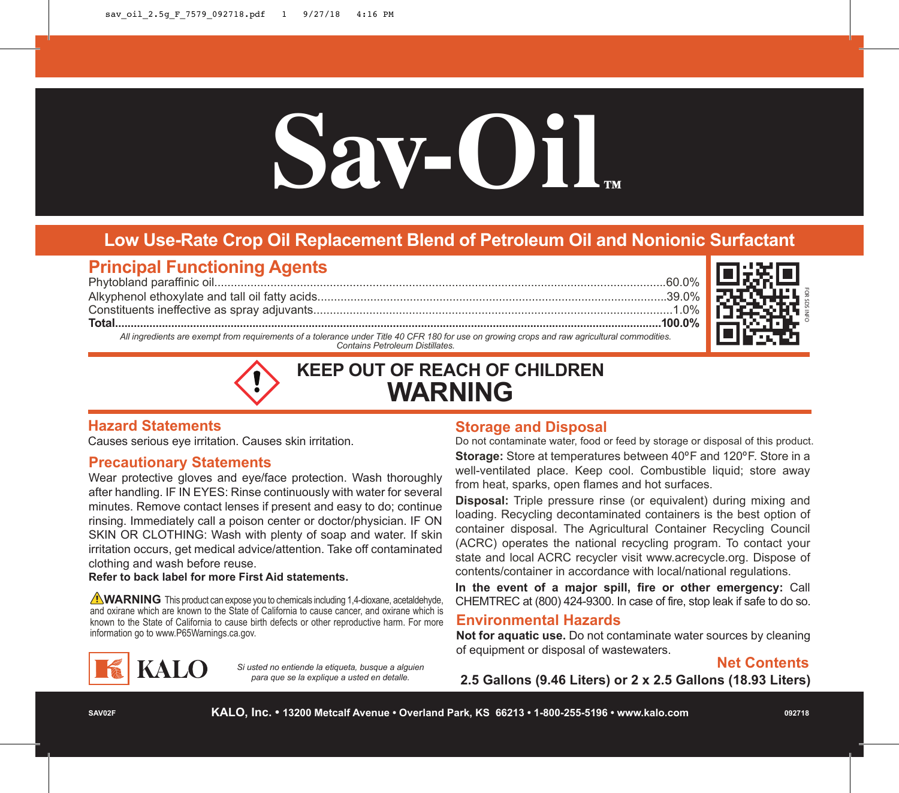# Sav-Oil

# **Low Use-Rate Crop Oil Replacement Blend of Petroleum Oil and Nonionic Surfactant**

# **Principal Functioning Agents**

Phytobland paraffinic oil.........................................................................................................................................60.0% Alkyphenol ethoxylate and tall oil fatty acids..........................................................................................................39.0% Constituents ineffective as spray adjuvants.............................................................................................................1.0%

**Total...............................................................................................................................................................................100.0%**

FOR SDS INFO

*All ingredients are exempt from requirements of a tolerance under Title 40 CFR 180 for use on growing crops and raw agricultural commodities. Contains Petroleum Distillates.*

# **KEEP OUT OF REACH OF CHILDREN WARNING**

## **Hazard Statements**

Causes serious eye irritation. Causes skin irritation.

## **Precautionary Statements**

Wear protective gloves and eye/face protection. Wash thoroughly after handling. IF IN EYES: Rinse continuously with water for several minutes. Remove contact lenses if present and easy to do; continue rinsing. Immediately call a poison center or doctor/physician. IF ON SKIN OR CLOTHING: Wash with plenty of soap and water. If skin irritation occurs, get medical advice/attention. Take off contaminated clothing and wash before reuse.

#### **Refer to back label for more First Aid statements.**

**WARNING** This product can expose you to chemicals including 1.4-dioxane, acetaldehyde, and oxirane which are known to the State of California to cause cancer, and oxirane which is known to the State of California to cause birth defects or other reproductive harm. For more information go to www.P65Warnings.ca.gov.



*Si usted no entiende la etiqueta, busque a alguien para que se la explique a usted en detalle.*

### **Storage and Disposal**

Do not contaminate water, food or feed by storage or disposal of this product. **Storage:** Store at temperatures between 40ºF and 120ºF. Store in a well-ventilated place. Keep cool. Combustible liquid; store away from heat, sparks, open flames and hot surfaces.

**Disposal:** Triple pressure rinse (or equivalent) during mixing and loading. Recycling decontaminated containers is the best option of container disposal. The Agricultural Container Recycling Council (ACRC) operates the national recycling program. To contact your state and local ACRC recycler visit www.acrecycle.org. Dispose of contents/container in accordance with local/national regulations.

**In the event of a major spill, fire or other emergency:** Call CHEMTREC at (800) 424-9300. In case of fire, stop leak if safe to do so.

### **Environmental Hazards**

**Not for aquatic use.** Do not contaminate water sources by cleaning of equipment or disposal of wastewaters.

# **Net Contents**

**2.5 Gallons (9.46 Liters) or 2 x 2.5 Gallons (18.93 Liters)**